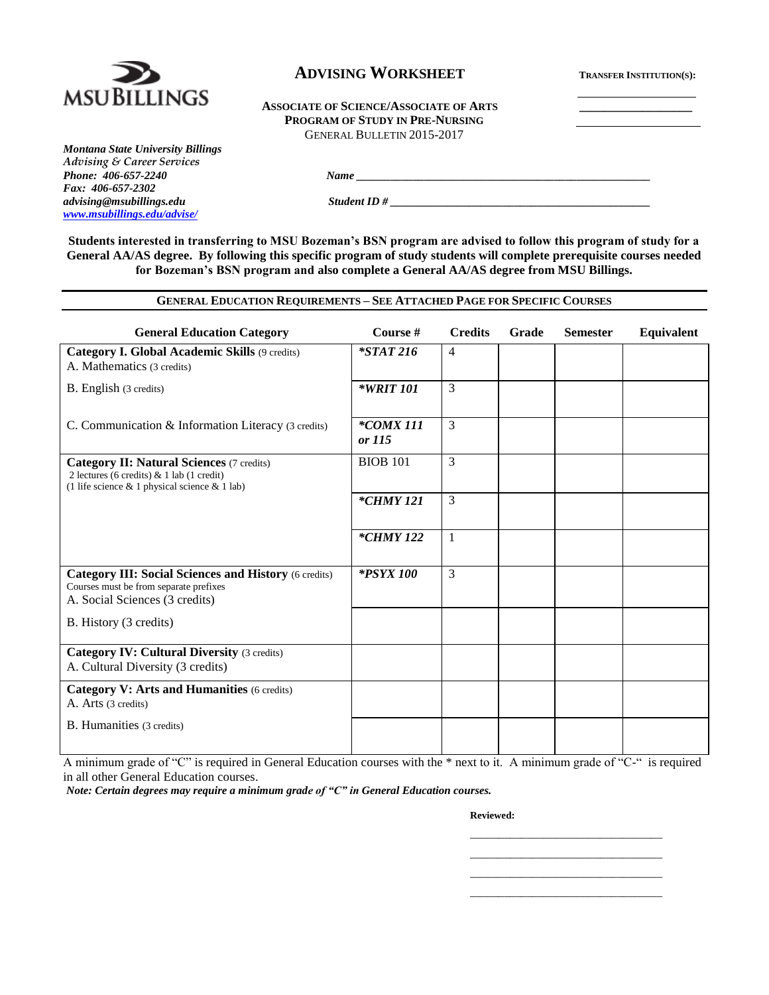

# $\bf ADVISING WORKSHEET$  **TRANSFER INSTITUTION**(S):

#### **ASSOCIATE OF SCIENCE/ASSOCIATE OF ARTS \_\_\_\_\_\_\_\_\_\_\_\_\_\_\_\_\_\_ PROGRAM OF STUDY IN PRE-NURSING** GENERAL BULLETIN 2015-2017

*Montana State University Billings Advising & Career Services Phone: 406-657-2240 Name \_\_\_\_\_\_\_\_\_\_\_\_\_\_\_\_\_\_\_\_\_\_\_\_\_\_\_\_\_\_\_\_\_\_\_\_\_\_\_\_\_\_\_\_\_\_\_\_\_\_\_\_ Fax: 406-657-2302 advising@msubillings.edu Student ID # \_\_\_\_\_\_\_\_\_\_\_\_\_\_\_\_\_\_\_\_\_\_\_\_\_\_\_\_\_\_\_\_\_\_\_\_\_\_\_\_\_\_\_\_\_\_ [www.msubillings.edu/advise/](http://www.msubillings.edu/advise/)*

**Students interested in transferring to MSU Bozeman's BSN program are advised to follow this program of study for a General AA/AS degree. By following this specific program of study students will complete prerequisite courses needed for Bozeman's BSN program and also complete a General AA/AS degree from MSU Billings.**

#### **GENERAL EDUCATION REQUIREMENTS – SEE ATTACHED PAGE FOR SPECIFIC COURSES**

| <b>General Education Category</b>                                                                                                                    | Course #            | <b>Credits</b> | Grade | <b>Semester</b> | Equivalent |
|------------------------------------------------------------------------------------------------------------------------------------------------------|---------------------|----------------|-------|-----------------|------------|
| Category I. Global Academic Skills (9 credits)<br>A. Mathematics (3 credits)                                                                         | $*STAT216$          | $\overline{4}$ |       |                 |            |
| B. English (3 credits)                                                                                                                               | *WRIT 101           | 3              |       |                 |            |
| C. Communication & Information Literacy (3 credits)                                                                                                  | *COMX 111<br>or 115 | 3              |       |                 |            |
| <b>Category II: Natural Sciences (7 credits)</b><br>2 lectures (6 credits) $& 1$ lab (1 credit)<br>(1 life science $& 1$ physical science $& 1$ lab) | <b>BIOB 101</b>     | 3              |       |                 |            |
|                                                                                                                                                      | $*CHMY 121$         | 3              |       |                 |            |
|                                                                                                                                                      | <i>*CHMY 122</i>    | 1              |       |                 |            |
| <b>Category III: Social Sciences and History (6 credits)</b><br>Courses must be from separate prefixes<br>A. Social Sciences (3 credits)             | <i>*PSYX 100</i>    | 3              |       |                 |            |
| B. History (3 credits)                                                                                                                               |                     |                |       |                 |            |
| <b>Category IV: Cultural Diversity (3 credits)</b><br>A. Cultural Diversity (3 credits)                                                              |                     |                |       |                 |            |
| <b>Category V: Arts and Humanities (6 credits)</b><br>A. Arts (3 credits)                                                                            |                     |                |       |                 |            |
| <b>B.</b> Humanities (3 credits)                                                                                                                     |                     |                |       |                 |            |

A minimum grade of "C" is required in General Education courses with the \* next to it. A minimum grade of "C-" is required in all other General Education courses.

*Note: Certain degrees may require a minimum grade of "C" in General Education courses.* 

#### **Reviewed:**

\_\_\_\_\_\_\_\_\_\_\_\_\_\_\_\_\_\_\_\_\_\_\_\_\_\_\_\_\_\_\_\_\_\_ \_\_\_\_\_\_\_\_\_\_\_\_\_\_\_\_\_\_\_\_\_\_\_\_\_\_\_\_\_\_\_\_\_\_ \_\_\_\_\_\_\_\_\_\_\_\_\_\_\_\_\_\_\_\_\_\_\_\_\_\_\_\_\_\_\_\_\_\_ \_\_\_\_\_\_\_\_\_\_\_\_\_\_\_\_\_\_\_\_\_\_\_\_\_\_\_\_\_\_\_\_\_\_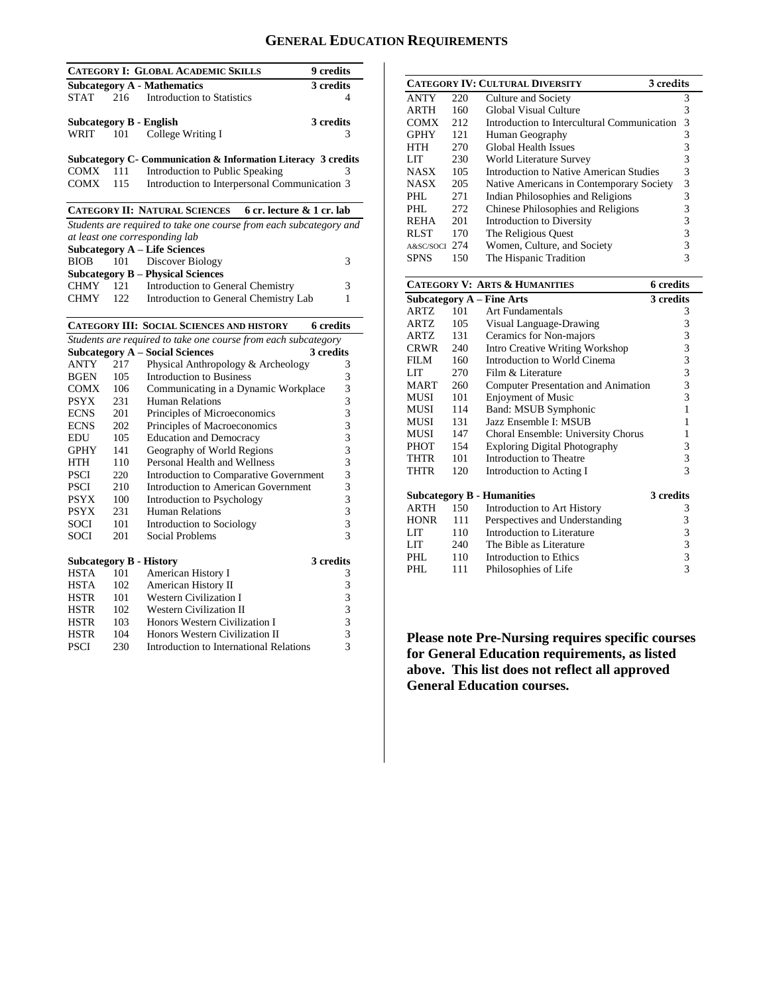## **GENERAL EDUCATION REQUIREMENTS**

|             |     | <b>CATEGORY I: GLOBAL ACADEMIC SKILLS</b>                          | 9 credits        |
|-------------|-----|--------------------------------------------------------------------|------------------|
|             |     | <b>Subcategory A - Mathematics</b>                                 | 3 credits        |
| <b>STAT</b> |     | 216 Introduction to Statistics                                     | 4                |
|             |     |                                                                    |                  |
|             |     | Subcategory B - English                                            | 3 credits        |
| WRIT        | 101 | College Writing I                                                  | 3                |
|             |     | Subcategory C- Communication & Information Literacy 3 credits      |                  |
| COMX        | 111 | Introduction to Public Speaking                                    | 3                |
| <b>COMX</b> | 115 | Introduction to Interpersonal Communication 3                      |                  |
|             |     |                                                                    |                  |
|             |     | <b>CATEGORY II: NATURAL SCIENCES</b><br>6 cr. lecture & 1 cr. lab  |                  |
|             |     | Students are required to take one course from each subcategory and |                  |
|             |     | at least one corresponding lab                                     |                  |
|             |     | <b>Subcategory A – Life Sciences</b>                               |                  |
| <b>BIOB</b> | 101 | Discover Biology                                                   | 3                |
|             |     | <b>Subcategory B - Physical Sciences</b>                           |                  |
|             |     | CHMY 121 Introduction to General Chemistry                         | 3                |
| <b>CHMY</b> |     | 122 Introduction to General Chemistry Lab                          | 1                |
|             |     |                                                                    |                  |
|             |     | <b>CATEGORY III: SOCIAL SCIENCES AND HISTORY</b>                   | <b>6</b> credits |
|             |     | Students are required to take one course from each subcategory     |                  |
|             |     | <b>Subcategory A - Social Sciences</b>                             | 3 credits        |
| ANTY        | 217 | Physical Anthropology & Archeology                                 | 3                |
| <b>BGEN</b> | 105 | <b>Introduction to Business</b>                                    | 3                |
| COMX        | 106 | Communicating in a Dynamic Workplace                               | 3                |
| <b>PSYX</b> | 231 | <b>Human Relations</b>                                             | 3                |
| <b>ECNS</b> | 201 | Principles of Microeconomics                                       | 3                |
| <b>ECNS</b> | 202 | Principles of Macroeconomics                                       | 3                |
| EDU         | 105 | <b>Education and Democracy</b>                                     | 3                |
| <b>GPHY</b> | 141 | Geography of World Regions                                         | 3                |
| <b>HTH</b>  | 110 | Personal Health and Wellness                                       | 3                |

HTH 110 Personal Health and Wellness

SOCI 201 Social Problems

PSCI 220 Introduction to Comparative Government 3 PSCI 210 Introduction to American Government 3<br>PSYX 100 Introduction to Psychology 3 PSYX 100 Introduction to Psychology 3<br>PSYX 231 Human Relations 3 PSYX 231 Human Relations 3<br>SOCI 101 Introduction to Sociology 3

**Subcategory B - History 3 credits**<br> **HSTA** 101 American History **I** 3 HSTA 101 American History I 3<br>HSTA 102 American History II 3 HSTA 102 American History II 3<br>HSTR 101 Western Civilization I 3

HSTR 102 Western Civilization II 3<br>HSTR 103 Honors Western Civilization I 3 HSTR 103 Honors Western Civilization I<br>HSTR 104 Honors Western Civilization II 3 Honors Western Civilization II PSCI 230 Introduction to International Relations 3

Introduction to Sociology 3<br>Social Problems 3

Western Civilization I 3<br>Western Civilization II 3

| <b>CATEGORY IV: CULTURAL DIVERSITY</b><br>3 credits |      |                                             |   |  |
|-----------------------------------------------------|------|---------------------------------------------|---|--|
| <b>ANTY</b>                                         | 220  | Culture and Society                         | 3 |  |
| <b>ARTH</b>                                         | 160  | Global Visual Culture                       | 3 |  |
| <b>COMX</b>                                         | 2.12 | Introduction to Intercultural Communication | 3 |  |
| <b>GPHY</b>                                         | 121  | Human Geography                             | 3 |  |
| HTH                                                 | 2.70 | <b>Global Health Issues</b>                 | 3 |  |
| LIT                                                 | 230  | World Literature Survey                     | 3 |  |
| <b>NASX</b>                                         | 105  | Introduction to Native American Studies     | 3 |  |
| <b>NASX</b>                                         | 205  | Native Americans in Contemporary Society    | 3 |  |
| PHL                                                 | 271  | Indian Philosophies and Religions           | 3 |  |
| PHI.                                                | 2.72 | Chinese Philosophies and Religions          | 3 |  |
| <b>REHA</b>                                         | 201  | Introduction to Diversity                   | 3 |  |
| <b>RLST</b>                                         | 170  | The Religious Quest                         | 3 |  |
| A&SC/SOCI                                           | 2.74 | Women, Culture, and Society                 |   |  |
| SPNS                                                | 150  | The Hispanic Tradition                      |   |  |
|                                                     |      |                                             |   |  |

|             |     | <b>CATEGORY V: ARTS &amp; HUMANITIES</b> | <b>6</b> credits                                |
|-------------|-----|------------------------------------------|-------------------------------------------------|
|             |     | <b>Subcategory A - Fine Arts</b>         | 3 credits                                       |
| ARTZ        | 101 | <b>Art Fundamentals</b>                  | 3                                               |
| ARTZ        | 105 | Visual Language-Drawing                  | 3                                               |
| ARTZ        | 131 | Ceramics for Non-majors                  | 3                                               |
| <b>CRWR</b> | 240 | <b>Intro Creative Writing Workshop</b>   | $\begin{array}{c} 3 \\ 3 \\ 3 \\ 3 \end{array}$ |
| FILM        | 160 | Introduction to World Cinema             |                                                 |
| LIT         | 270 | Film & Literature                        |                                                 |
| <b>MART</b> | 260 | Computer Presentation and Animation      |                                                 |
| MUSI        | 101 | <b>Enjoyment of Music</b>                | $\overline{3}$                                  |
| MUSI        | 114 | Band: MSUB Symphonic                     | 1                                               |
| MUSI        | 131 | Jazz Ensemble I: MSUB                    | 1                                               |
| MUSI        | 147 | Choral Ensemble: University Chorus       | 1                                               |
| PHOT        | 154 | <b>Exploring Digital Photography</b>     | 3                                               |
| THTR        | 101 | Introduction to Theatre                  | 3                                               |
| <b>THTR</b> | 120 | Introduction to Acting I                 | 3                                               |
|             |     | <b>Subcategory B - Humanities</b>        | 3 credits                                       |
| ARTH        | 150 | Introduction to Art History              | 3                                               |
| <b>HONR</b> | 111 | Perspectives and Understanding           | 3                                               |
| <b>LIT</b>  | 110 | Introduction to Literature               | 3                                               |
| LIT.        | 240 | The Bible as Literature                  | $\frac{3}{3}$                                   |
| PHL         | 110 | Introduction to Ethics                   |                                                 |
| PHL         | 111 | Philosophies of Life                     | 3                                               |

**Please note Pre-Nursing requires specific courses for General Education requirements, as listed above. This list does not reflect all approved General Education courses.**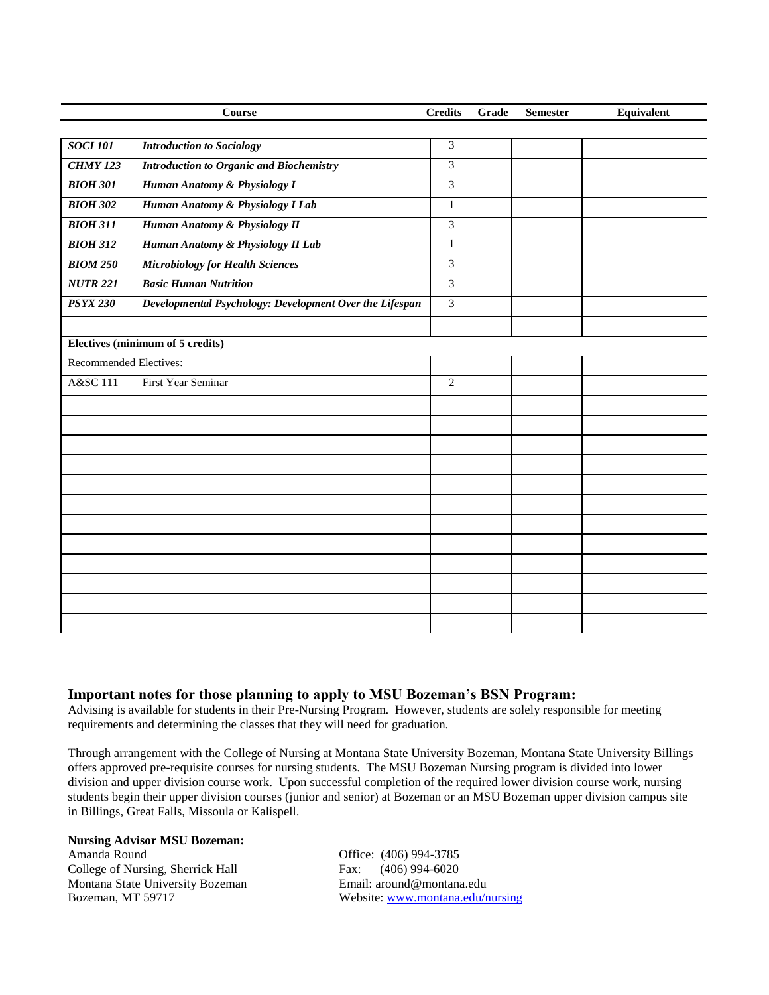|                               | Course                                                  | <b>Credits</b> | Grade | <b>Semester</b> | Equivalent |
|-------------------------------|---------------------------------------------------------|----------------|-------|-----------------|------------|
|                               |                                                         |                |       |                 |            |
| <b>SOCI 101</b>               | <b>Introduction to Sociology</b>                        | 3              |       |                 |            |
| <b>CHMY 123</b>               | <b>Introduction to Organic and Biochemistry</b>         | 3              |       |                 |            |
| <b>BIOH 301</b>               | Human Anatomy & Physiology I                            | 3              |       |                 |            |
| <b>BIOH 302</b>               | Human Anatomy & Physiology I Lab                        | $\mathbf{1}$   |       |                 |            |
| <b>BIOH 311</b>               | Human Anatomy & Physiology II                           | 3              |       |                 |            |
| <b>BIOH 312</b>               | Human Anatomy & Physiology II Lab                       | $\mathbf{1}$   |       |                 |            |
| <b>BIOM 250</b>               | <b>Microbiology for Health Sciences</b>                 | $\overline{3}$ |       |                 |            |
| <b>NUTR 221</b>               | <b>Basic Human Nutrition</b>                            | 3              |       |                 |            |
| <b>PSYX 230</b>               | Developmental Psychology: Development Over the Lifespan | $\overline{3}$ |       |                 |            |
|                               |                                                         |                |       |                 |            |
|                               | <b>Electives (minimum of 5 credits)</b>                 |                |       |                 |            |
| <b>Recommended Electives:</b> |                                                         |                |       |                 |            |
| A&SC 111                      | First Year Seminar                                      | $\mathbf{2}$   |       |                 |            |
|                               |                                                         |                |       |                 |            |
|                               |                                                         |                |       |                 |            |
|                               |                                                         |                |       |                 |            |
|                               |                                                         |                |       |                 |            |
|                               |                                                         |                |       |                 |            |
|                               |                                                         |                |       |                 |            |
|                               |                                                         |                |       |                 |            |
|                               |                                                         |                |       |                 |            |
|                               |                                                         |                |       |                 |            |
|                               |                                                         |                |       |                 |            |
|                               |                                                         |                |       |                 |            |
|                               |                                                         |                |       |                 |            |

## **Important notes for those planning to apply to MSU Bozeman's BSN Program:**

Advising is available for students in their Pre-Nursing Program. However, students are solely responsible for meeting requirements and determining the classes that they will need for graduation.

Through arrangement with the College of Nursing at Montana State University Bozeman, Montana State University Billings offers approved pre-requisite courses for nursing students. The MSU Bozeman Nursing program is divided into lower division and upper division course work. Upon successful completion of the required lower division course work, nursing students begin their upper division courses (junior and senior) at Bozeman or an MSU Bozeman upper division campus site in Billings, Great Falls, Missoula or Kalispell.

### **Nursing Advisor MSU Bozeman:**

Amanda Round **Office:** (406) 994-3785 College of Nursing, Sherrick Hall Fax: (406) 994-6020 Montana State University Bozeman Email: around@montana.edu Bozeman, MT 59717 Website: [www.montana.edu/nursing](http://www.montana.edu/nursing)